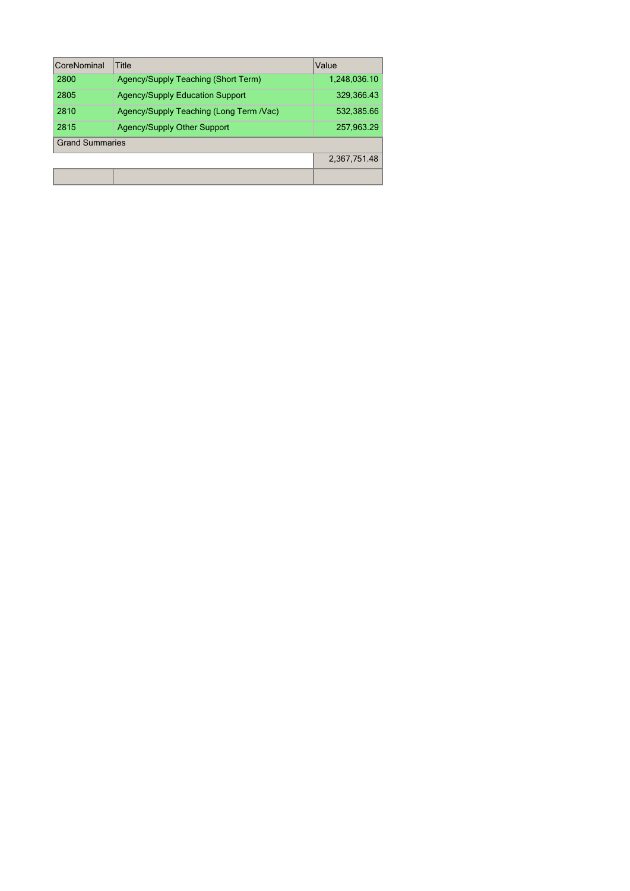| CoreNominal            | Title                                   | Value        |
|------------------------|-----------------------------------------|--------------|
| 2800                   | Agency/Supply Teaching (Short Term)     | 1,248,036.10 |
| 2805                   | <b>Agency/Supply Education Support</b>  | 329,366.43   |
| 2810                   | Agency/Supply Teaching (Long Term /Vac) | 532,385.66   |
| 2815                   | <b>Agency/Supply Other Support</b>      | 257,963.29   |
| <b>Grand Summaries</b> |                                         |              |
|                        |                                         | 2,367,751.48 |
|                        |                                         |              |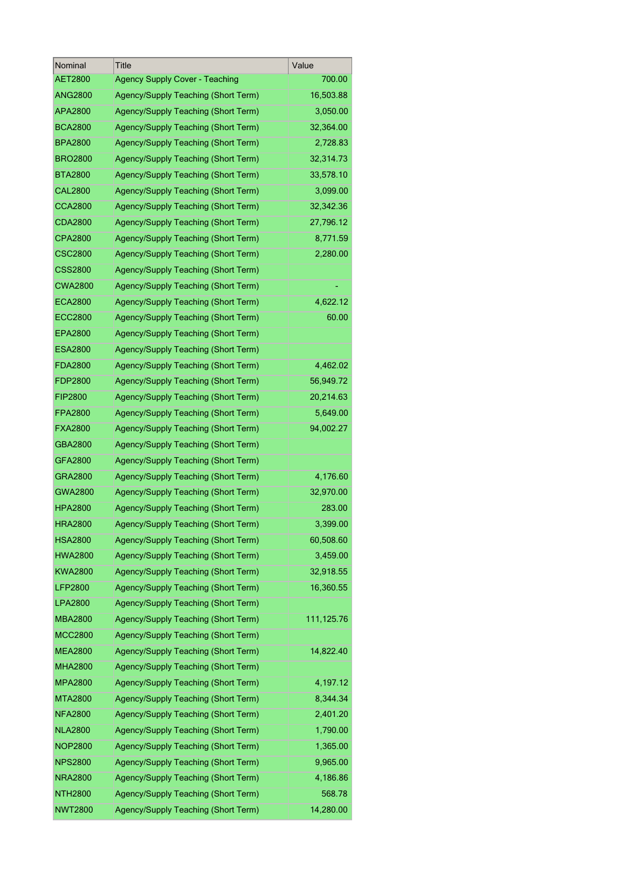| Nominal        | Title                                 | Value      |
|----------------|---------------------------------------|------------|
| AET2800        | <b>Agency Supply Cover - Teaching</b> | 700.00     |
| ANG2800        | Agency/Supply Teaching (Short Term)   | 16,503.88  |
| APA2800        | Agency/Supply Teaching (Short Term)   | 3,050.00   |
| <b>BCA2800</b> | Agency/Supply Teaching (Short Term)   | 32,364.00  |
| <b>BPA2800</b> | Agency/Supply Teaching (Short Term)   | 2,728.83   |
| <b>BRO2800</b> | Agency/Supply Teaching (Short Term)   | 32,314.73  |
| <b>BTA2800</b> | Agency/Supply Teaching (Short Term)   | 33,578.10  |
| <b>CAL2800</b> | Agency/Supply Teaching (Short Term)   | 3,099.00   |
| <b>CCA2800</b> | Agency/Supply Teaching (Short Term)   | 32,342.36  |
| <b>CDA2800</b> | Agency/Supply Teaching (Short Term)   | 27,796.12  |
| <b>CPA2800</b> | Agency/Supply Teaching (Short Term)   | 8,771.59   |
| <b>CSC2800</b> | Agency/Supply Teaching (Short Term)   | 2,280.00   |
| <b>CSS2800</b> | Agency/Supply Teaching (Short Term)   |            |
| <b>CWA2800</b> | Agency/Supply Teaching (Short Term)   |            |
| <b>ECA2800</b> | Agency/Supply Teaching (Short Term)   | 4,622.12   |
| <b>ECC2800</b> | Agency/Supply Teaching (Short Term)   | 60.00      |
| <b>EPA2800</b> | Agency/Supply Teaching (Short Term)   |            |
| <b>ESA2800</b> | Agency/Supply Teaching (Short Term)   |            |
| <b>FDA2800</b> | Agency/Supply Teaching (Short Term)   | 4,462.02   |
| FDP2800        | Agency/Supply Teaching (Short Term)   | 56,949.72  |
| <b>FIP2800</b> | Agency/Supply Teaching (Short Term)   | 20,214.63  |
| <b>FPA2800</b> | Agency/Supply Teaching (Short Term)   | 5,649.00   |
| <b>FXA2800</b> | Agency/Supply Teaching (Short Term)   | 94,002.27  |
| GBA2800        | Agency/Supply Teaching (Short Term)   |            |
| GFA2800        | Agency/Supply Teaching (Short Term)   |            |
| GRA2800        | Agency/Supply Teaching (Short Term)   | 4,176.60   |
| <b>GWA2800</b> | Agency/Supply Teaching (Short Term)   | 32,970.00  |
| <b>HPA2800</b> | Agency/Supply Teaching (Short Term)   | 283.00     |
| <b>HRA2800</b> | Agency/Supply Teaching (Short Term)   | 3,399.00   |
| HSA2800        | Agency/Supply Teaching (Short Term)   | 60,508.60  |
| <b>HWA2800</b> | Agency/Supply Teaching (Short Term)   | 3,459.00   |
| <b>KWA2800</b> | Agency/Supply Teaching (Short Term)   | 32,918.55  |
| LFP2800        | Agency/Supply Teaching (Short Term)   | 16,360.55  |
| <b>LPA2800</b> | Agency/Supply Teaching (Short Term)   |            |
| <b>MBA2800</b> | Agency/Supply Teaching (Short Term)   | 111,125.76 |
| <b>MCC2800</b> | Agency/Supply Teaching (Short Term)   |            |
| <b>MEA2800</b> | Agency/Supply Teaching (Short Term)   | 14,822.40  |
| <b>MHA2800</b> | Agency/Supply Teaching (Short Term)   |            |
| <b>MPA2800</b> | Agency/Supply Teaching (Short Term)   | 4,197.12   |
| MTA2800        | Agency/Supply Teaching (Short Term)   | 8,344.34   |
| <b>NFA2800</b> | Agency/Supply Teaching (Short Term)   | 2,401.20   |
| <b>NLA2800</b> | Agency/Supply Teaching (Short Term)   | 1,790.00   |
| <b>NOP2800</b> | Agency/Supply Teaching (Short Term)   | 1,365.00   |
| <b>NPS2800</b> | Agency/Supply Teaching (Short Term)   | 9,965.00   |
| <b>NRA2800</b> | Agency/Supply Teaching (Short Term)   | 4,186.86   |
| NTH2800        | Agency/Supply Teaching (Short Term)   | 568.78     |
| <b>NWT2800</b> | Agency/Supply Teaching (Short Term)   | 14,280.00  |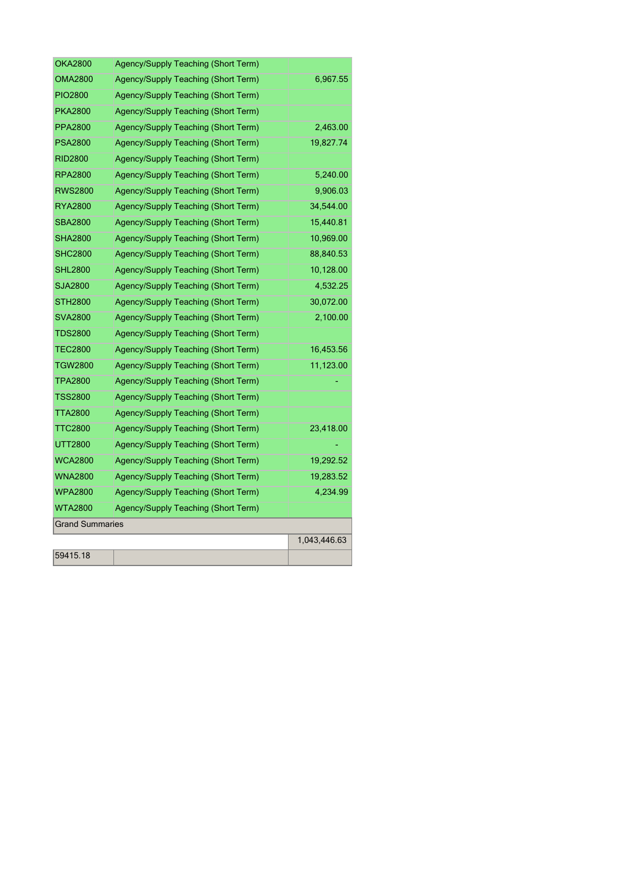| <b>OKA2800</b>         | Agency/Supply Teaching (Short Term) |              |
|------------------------|-------------------------------------|--------------|
| <b>OMA2800</b>         | Agency/Supply Teaching (Short Term) | 6,967.55     |
| <b>PIO2800</b>         | Agency/Supply Teaching (Short Term) |              |
| <b>PKA2800</b>         | Agency/Supply Teaching (Short Term) |              |
| <b>PPA2800</b>         | Agency/Supply Teaching (Short Term) | 2,463.00     |
| <b>PSA2800</b>         | Agency/Supply Teaching (Short Term) | 19,827.74    |
| <b>RID2800</b>         | Agency/Supply Teaching (Short Term) |              |
| <b>RPA2800</b>         | Agency/Supply Teaching (Short Term) | 5,240.00     |
| <b>RWS2800</b>         | Agency/Supply Teaching (Short Term) | 9,906.03     |
| RYA2800                | Agency/Supply Teaching (Short Term) | 34,544.00    |
| <b>SBA2800</b>         | Agency/Supply Teaching (Short Term) | 15,440.81    |
| <b>SHA2800</b>         | Agency/Supply Teaching (Short Term) | 10,969.00    |
| <b>SHC2800</b>         | Agency/Supply Teaching (Short Term) | 88,840.53    |
| <b>SHL2800</b>         | Agency/Supply Teaching (Short Term) | 10,128.00    |
| <b>SJA2800</b>         | Agency/Supply Teaching (Short Term) | 4,532.25     |
| <b>STH2800</b>         | Agency/Supply Teaching (Short Term) | 30,072.00    |
| <b>SVA2800</b>         | Agency/Supply Teaching (Short Term) | 2,100.00     |
| <b>TDS2800</b>         | Agency/Supply Teaching (Short Term) |              |
| <b>TEC2800</b>         | Agency/Supply Teaching (Short Term) | 16,453.56    |
| <b>TGW2800</b>         | Agency/Supply Teaching (Short Term) | 11,123.00    |
| <b>TPA2800</b>         | Agency/Supply Teaching (Short Term) |              |
| <b>TSS2800</b>         | Agency/Supply Teaching (Short Term) |              |
| <b>TTA2800</b>         | Agency/Supply Teaching (Short Term) |              |
| <b>TTC2800</b>         | Agency/Supply Teaching (Short Term) | 23,418.00    |
| <b>UTT2800</b>         | Agency/Supply Teaching (Short Term) |              |
| <b>WCA2800</b>         | Agency/Supply Teaching (Short Term) | 19,292.52    |
| <b>WNA2800</b>         | Agency/Supply Teaching (Short Term) | 19,283.52    |
| <b>WPA2800</b>         | Agency/Supply Teaching (Short Term) | 4,234.99     |
| <b>WTA2800</b>         | Agency/Supply Teaching (Short Term) |              |
| <b>Grand Summaries</b> |                                     |              |
|                        |                                     | 1,043,446.63 |
| 59415.18               |                                     |              |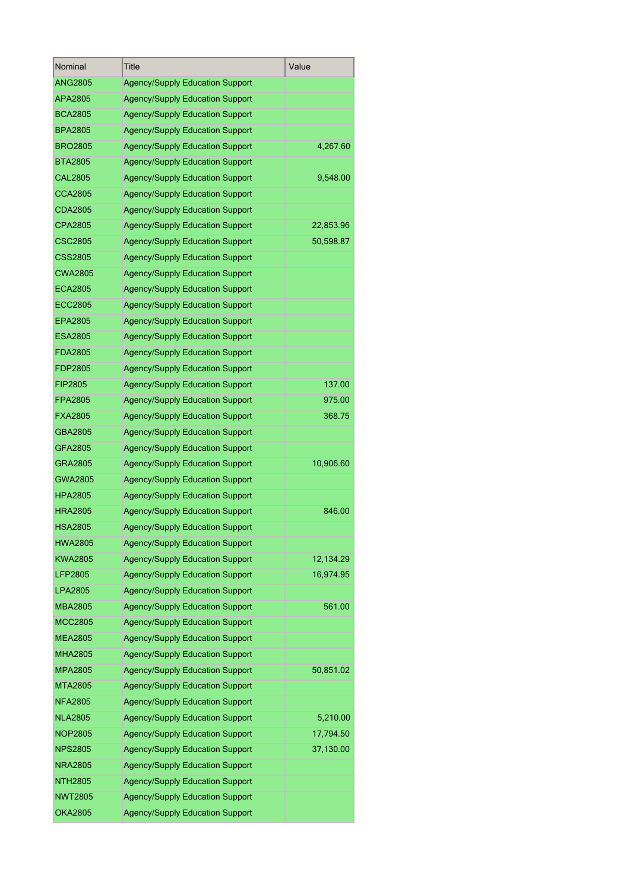| Nominal        | Title                                  | Value     |
|----------------|----------------------------------------|-----------|
| <b>ANG2805</b> | <b>Agency/Supply Education Support</b> |           |
| APA2805        | <b>Agency/Supply Education Support</b> |           |
| <b>BCA2805</b> | <b>Agency/Supply Education Support</b> |           |
| <b>BPA2805</b> | <b>Agency/Supply Education Support</b> |           |
| <b>BRO2805</b> | <b>Agency/Supply Education Support</b> | 4,267.60  |
| <b>BTA2805</b> | <b>Agency/Supply Education Support</b> |           |
| <b>CAL2805</b> | <b>Agency/Supply Education Support</b> | 9,548.00  |
| <b>CCA2805</b> | <b>Agency/Supply Education Support</b> |           |
| <b>CDA2805</b> | <b>Agency/Supply Education Support</b> |           |
| <b>CPA2805</b> | <b>Agency/Supply Education Support</b> | 22,853.96 |
| <b>CSC2805</b> | <b>Agency/Supply Education Support</b> | 50,598.87 |
| <b>CSS2805</b> | <b>Agency/Supply Education Support</b> |           |
| <b>CWA2805</b> | <b>Agency/Supply Education Support</b> |           |
| <b>ECA2805</b> | <b>Agency/Supply Education Support</b> |           |
| ECC2805        | <b>Agency/Supply Education Support</b> |           |
| EPA2805        | <b>Agency/Supply Education Support</b> |           |
| <b>ESA2805</b> | <b>Agency/Supply Education Support</b> |           |
| <b>FDA2805</b> | <b>Agency/Supply Education Support</b> |           |
| <b>FDP2805</b> | <b>Agency/Supply Education Support</b> |           |
| FIP2805        | <b>Agency/Supply Education Support</b> | 137.00    |
| <b>FPA2805</b> | <b>Agency/Supply Education Support</b> | 975.00    |
| <b>FXA2805</b> | <b>Agency/Supply Education Support</b> | 368.75    |
| GBA2805        | <b>Agency/Supply Education Support</b> |           |
| GFA2805        | <b>Agency/Supply Education Support</b> |           |
| GRA2805        | <b>Agency/Supply Education Support</b> | 10,906.60 |
| <b>GWA2805</b> | <b>Agency/Supply Education Support</b> |           |
| <b>HPA2805</b> | <b>Agency/Supply Education Support</b> |           |
| <b>HRA2805</b> | <b>Agency/Supply Education Support</b> | 846.00    |
| <b>HSA2805</b> | <b>Agency/Supply Education Support</b> |           |
| <b>HWA2805</b> | <b>Agency/Supply Education Support</b> |           |
| KWA2805        | <b>Agency/Supply Education Support</b> | 12,134.29 |
| <b>LFP2805</b> | <b>Agency/Supply Education Support</b> | 16,974.95 |
| LPA2805        | <b>Agency/Supply Education Support</b> |           |
| <b>MBA2805</b> | <b>Agency/Supply Education Support</b> | 561.00    |
| <b>MCC2805</b> | <b>Agency/Supply Education Support</b> |           |
| <b>MEA2805</b> | <b>Agency/Supply Education Support</b> |           |
| <b>MHA2805</b> | <b>Agency/Supply Education Support</b> |           |
| <b>MPA2805</b> | <b>Agency/Supply Education Support</b> | 50,851.02 |
| <b>MTA2805</b> | <b>Agency/Supply Education Support</b> |           |
| <b>NFA2805</b> | <b>Agency/Supply Education Support</b> |           |
| <b>NLA2805</b> | <b>Agency/Supply Education Support</b> | 5,210.00  |
| <b>NOP2805</b> | <b>Agency/Supply Education Support</b> | 17,794.50 |
| <b>NPS2805</b> | <b>Agency/Supply Education Support</b> | 37,130.00 |
| <b>NRA2805</b> | <b>Agency/Supply Education Support</b> |           |
| <b>NTH2805</b> | <b>Agency/Supply Education Support</b> |           |
| <b>NWT2805</b> | <b>Agency/Supply Education Support</b> |           |
| <b>OKA2805</b> | <b>Agency/Supply Education Support</b> |           |
|                |                                        |           |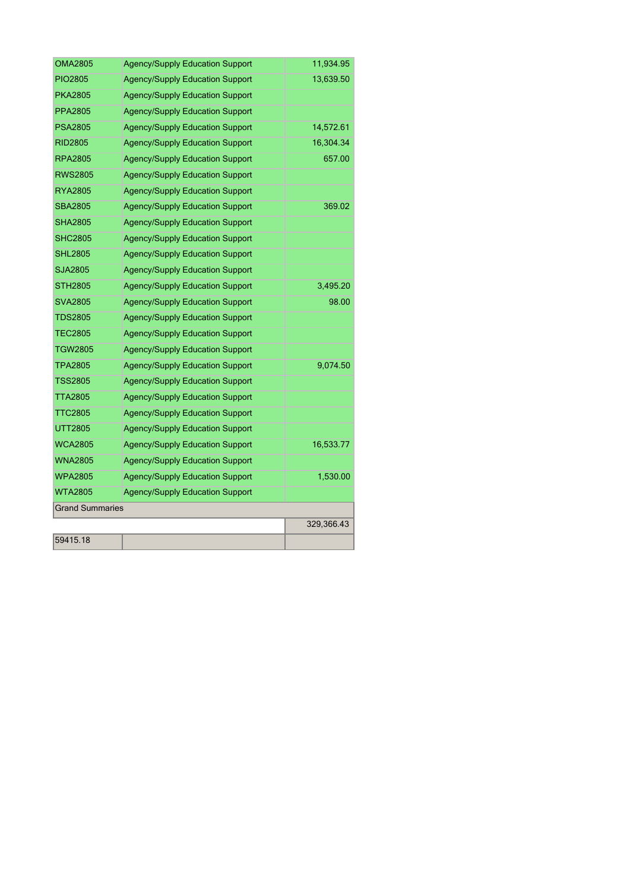| OMA2805                | <b>Agency/Supply Education Support</b> | 11,934.95  |
|------------------------|----------------------------------------|------------|
| PIO2805                | <b>Agency/Supply Education Support</b> | 13,639.50  |
| <b>PKA2805</b>         | <b>Agency/Supply Education Support</b> |            |
| PPA2805                | <b>Agency/Supply Education Support</b> |            |
| <b>PSA2805</b>         | <b>Agency/Supply Education Support</b> | 14,572.61  |
| <b>RID2805</b>         | <b>Agency/Supply Education Support</b> | 16,304.34  |
| RPA2805                | <b>Agency/Supply Education Support</b> | 657.00     |
| <b>RWS2805</b>         | <b>Agency/Supply Education Support</b> |            |
| <b>RYA2805</b>         | <b>Agency/Supply Education Support</b> |            |
| <b>SBA2805</b>         | <b>Agency/Supply Education Support</b> | 369.02     |
| <b>SHA2805</b>         | <b>Agency/Supply Education Support</b> |            |
| <b>SHC2805</b>         | <b>Agency/Supply Education Support</b> |            |
| <b>SHL2805</b>         | <b>Agency/Supply Education Support</b> |            |
| SJA2805                | <b>Agency/Supply Education Support</b> |            |
| <b>STH2805</b>         | <b>Agency/Supply Education Support</b> | 3,495.20   |
| <b>SVA2805</b>         | <b>Agency/Supply Education Support</b> | 98.00      |
| <b>TDS2805</b>         | <b>Agency/Supply Education Support</b> |            |
| <b>TEC2805</b>         | <b>Agency/Supply Education Support</b> |            |
| <b>TGW2805</b>         | <b>Agency/Supply Education Support</b> |            |
| <b>TPA2805</b>         | <b>Agency/Supply Education Support</b> | 9,074.50   |
| <b>TSS2805</b>         | <b>Agency/Supply Education Support</b> |            |
| <b>TTA2805</b>         | <b>Agency/Supply Education Support</b> |            |
| <b>TTC2805</b>         | <b>Agency/Supply Education Support</b> |            |
| <b>UTT2805</b>         | <b>Agency/Supply Education Support</b> |            |
| <b>WCA2805</b>         | <b>Agency/Supply Education Support</b> | 16,533.77  |
| <b>WNA2805</b>         | <b>Agency/Supply Education Support</b> |            |
| <b>WPA2805</b>         | <b>Agency/Supply Education Support</b> | 1,530.00   |
| <b>WTA2805</b>         | <b>Agency/Supply Education Support</b> |            |
| <b>Grand Summaries</b> |                                        |            |
|                        |                                        | 329,366.43 |
| 59415.18               |                                        |            |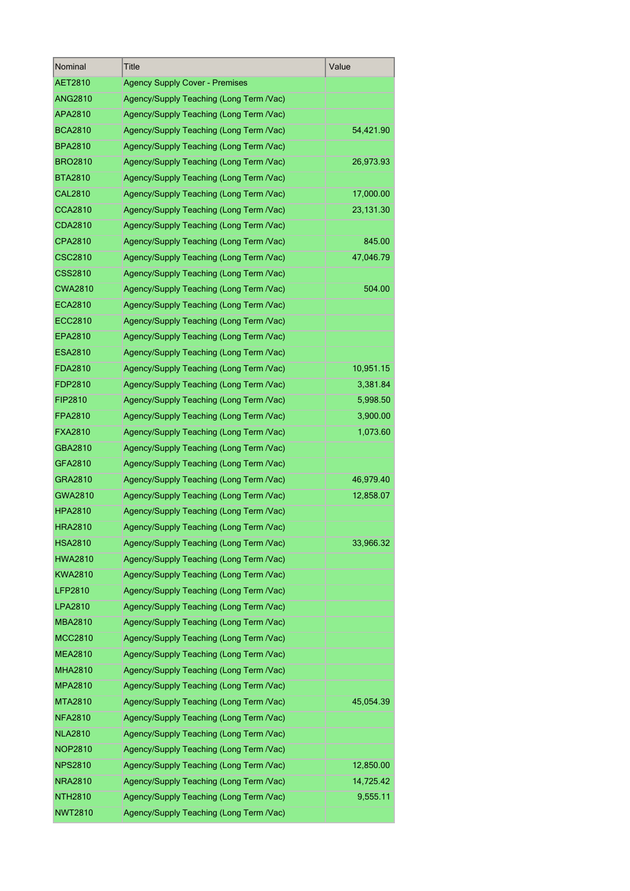| Nominal        | Title                                   | Value     |
|----------------|-----------------------------------------|-----------|
| AET2810        | <b>Agency Supply Cover - Premises</b>   |           |
| <b>ANG2810</b> | Agency/Supply Teaching (Long Term /Vac) |           |
| APA2810        | Agency/Supply Teaching (Long Term /Vac) |           |
| <b>BCA2810</b> | Agency/Supply Teaching (Long Term /Vac) | 54,421.90 |
| <b>BPA2810</b> | Agency/Supply Teaching (Long Term /Vac) |           |
| <b>BRO2810</b> | Agency/Supply Teaching (Long Term /Vac) | 26,973.93 |
| <b>BTA2810</b> | Agency/Supply Teaching (Long Term /Vac) |           |
| <b>CAL2810</b> | Agency/Supply Teaching (Long Term /Vac) | 17,000.00 |
| <b>CCA2810</b> | Agency/Supply Teaching (Long Term /Vac) | 23,131.30 |
| <b>CDA2810</b> | Agency/Supply Teaching (Long Term /Vac) |           |
| CPA2810        | Agency/Supply Teaching (Long Term /Vac) | 845.00    |
| <b>CSC2810</b> | Agency/Supply Teaching (Long Term /Vac) | 47,046.79 |
| <b>CSS2810</b> | Agency/Supply Teaching (Long Term /Vac) |           |
| <b>CWA2810</b> | Agency/Supply Teaching (Long Term /Vac) | 504.00    |
| <b>ECA2810</b> | Agency/Supply Teaching (Long Term /Vac) |           |
| <b>ECC2810</b> | Agency/Supply Teaching (Long Term /Vac) |           |
| <b>EPA2810</b> | Agency/Supply Teaching (Long Term /Vac) |           |
| <b>ESA2810</b> | Agency/Supply Teaching (Long Term /Vac) |           |
| FDA2810        | Agency/Supply Teaching (Long Term /Vac) | 10,951.15 |
| FDP2810        | Agency/Supply Teaching (Long Term /Vac) | 3,381.84  |
| FIP2810        | Agency/Supply Teaching (Long Term /Vac) | 5,998.50  |
| FPA2810        | Agency/Supply Teaching (Long Term /Vac) | 3,900.00  |
| <b>FXA2810</b> | Agency/Supply Teaching (Long Term /Vac) | 1,073.60  |
| GBA2810        | Agency/Supply Teaching (Long Term /Vac) |           |
| GFA2810        | Agency/Supply Teaching (Long Term /Vac) |           |
| GRA2810        | Agency/Supply Teaching (Long Term /Vac) | 46,979.40 |
| GWA2810        | Agency/Supply Teaching (Long Term /Vac) | 12,858.07 |
| <b>HPA2810</b> | Agency/Supply Teaching (Long Term /Vac) |           |
| <b>HRA2810</b> | Agency/Supply Teaching (Long Term /Vac) |           |
| HSA2810        | Agency/Supply Teaching (Long Term /Vac) | 33,966.32 |
| <b>HWA2810</b> | Agency/Supply Teaching (Long Term /Vac) |           |
| KWA2810        | Agency/Supply Teaching (Long Term /Vac) |           |
| LFP2810        | Agency/Supply Teaching (Long Term /Vac) |           |
| LPA2810        | Agency/Supply Teaching (Long Term /Vac) |           |
| <b>MBA2810</b> | Agency/Supply Teaching (Long Term /Vac) |           |
| <b>MCC2810</b> | Agency/Supply Teaching (Long Term /Vac) |           |
| <b>MEA2810</b> | Agency/Supply Teaching (Long Term /Vac) |           |
| <b>MHA2810</b> | Agency/Supply Teaching (Long Term /Vac) |           |
| <b>MPA2810</b> | Agency/Supply Teaching (Long Term /Vac) |           |
| MTA2810        | Agency/Supply Teaching (Long Term /Vac) | 45,054.39 |
| <b>NFA2810</b> | Agency/Supply Teaching (Long Term /Vac) |           |
| <b>NLA2810</b> | Agency/Supply Teaching (Long Term /Vac) |           |
| <b>NOP2810</b> | Agency/Supply Teaching (Long Term /Vac) |           |
| <b>NPS2810</b> | Agency/Supply Teaching (Long Term /Vac) | 12,850.00 |
| NRA2810        | Agency/Supply Teaching (Long Term /Vac) | 14,725.42 |
| NTH2810        | Agency/Supply Teaching (Long Term /Vac) | 9,555.11  |
| <b>NWT2810</b> | Agency/Supply Teaching (Long Term /Vac) |           |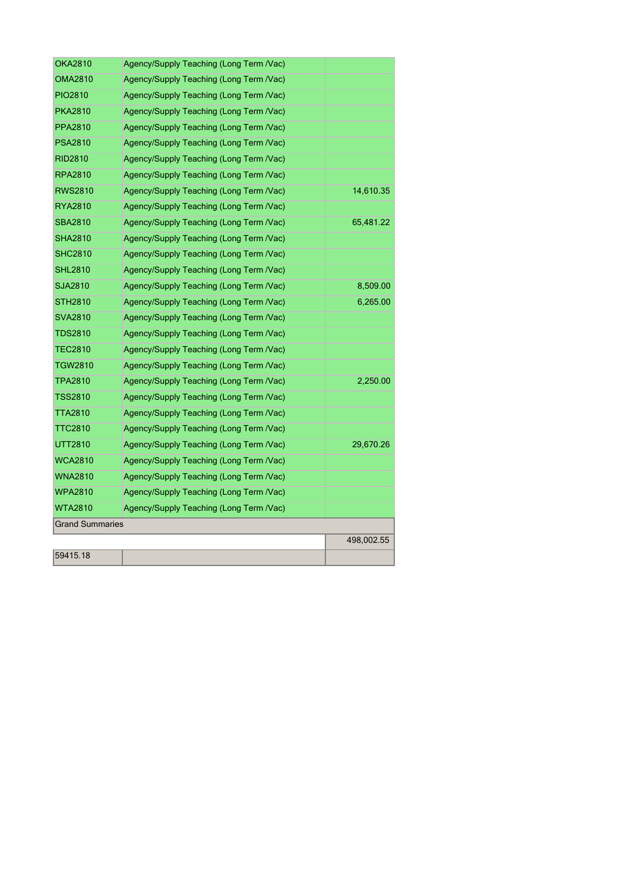| <b>OKA2810</b>         | Agency/Supply Teaching (Long Term /Vac) |            |
|------------------------|-----------------------------------------|------------|
| <b>OMA2810</b>         | Agency/Supply Teaching (Long Term /Vac) |            |
| PIO2810                | Agency/Supply Teaching (Long Term /Vac) |            |
| <b>PKA2810</b>         | Agency/Supply Teaching (Long Term /Vac) |            |
| <b>PPA2810</b>         | Agency/Supply Teaching (Long Term /Vac) |            |
| <b>PSA2810</b>         | Agency/Supply Teaching (Long Term /Vac) |            |
| <b>RID2810</b>         | Agency/Supply Teaching (Long Term /Vac) |            |
| <b>RPA2810</b>         | Agency/Supply Teaching (Long Term /Vac) |            |
| <b>RWS2810</b>         | Agency/Supply Teaching (Long Term /Vac) | 14,610.35  |
| <b>RYA2810</b>         | Agency/Supply Teaching (Long Term /Vac) |            |
| <b>SBA2810</b>         | Agency/Supply Teaching (Long Term /Vac) | 65,481.22  |
| <b>SHA2810</b>         | Agency/Supply Teaching (Long Term /Vac) |            |
| <b>SHC2810</b>         | Agency/Supply Teaching (Long Term /Vac) |            |
| <b>SHL2810</b>         | Agency/Supply Teaching (Long Term /Vac) |            |
| SJA2810                | Agency/Supply Teaching (Long Term /Vac) | 8,509.00   |
| STH2810                | Agency/Supply Teaching (Long Term /Vac) | 6,265.00   |
| <b>SVA2810</b>         | Agency/Supply Teaching (Long Term /Vac) |            |
| <b>TDS2810</b>         | Agency/Supply Teaching (Long Term /Vac) |            |
| <b>TEC2810</b>         | Agency/Supply Teaching (Long Term /Vac) |            |
| TGW2810                | Agency/Supply Teaching (Long Term /Vac) |            |
| TPA2810                | Agency/Supply Teaching (Long Term /Vac) | 2,250.00   |
| TSS2810                | Agency/Supply Teaching (Long Term /Vac) |            |
| <b>TTA2810</b>         | Agency/Supply Teaching (Long Term /Vac) |            |
| <b>TTC2810</b>         | Agency/Supply Teaching (Long Term /Vac) |            |
| UTT2810                | Agency/Supply Teaching (Long Term /Vac) | 29,670.26  |
| <b>WCA2810</b>         | Agency/Supply Teaching (Long Term /Vac) |            |
| <b>WNA2810</b>         | Agency/Supply Teaching (Long Term /Vac) |            |
| <b>WPA2810</b>         | Agency/Supply Teaching (Long Term /Vac) |            |
| WTA2810                | Agency/Supply Teaching (Long Term /Vac) |            |
| <b>Grand Summaries</b> |                                         |            |
|                        |                                         | 498,002.55 |
| 59415.18               |                                         |            |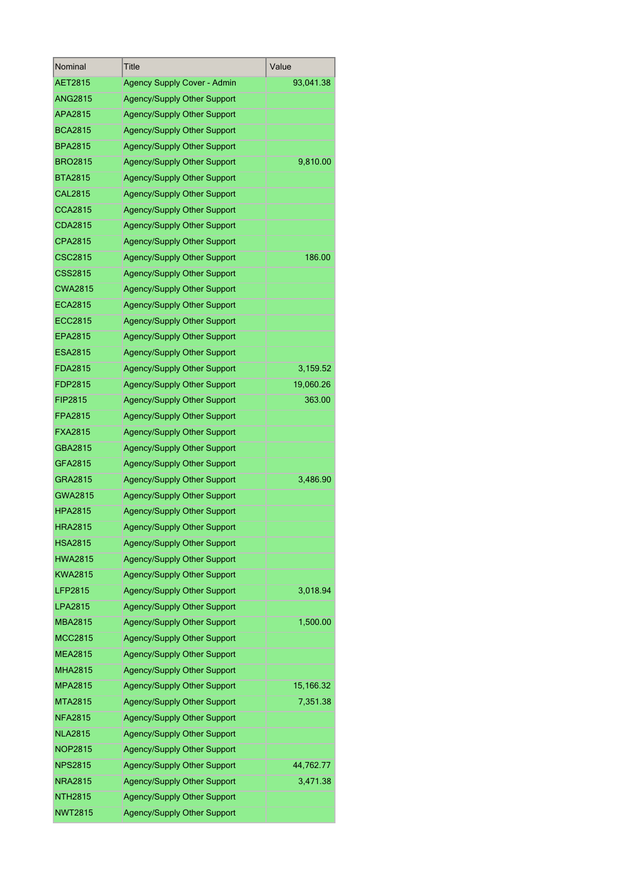| Nominal        | Title                              | Value     |
|----------------|------------------------------------|-----------|
| AET2815        | <b>Agency Supply Cover - Admin</b> | 93,041.38 |
| <b>ANG2815</b> | Agency/Supply Other Support        |           |
| APA2815        | <b>Agency/Supply Other Support</b> |           |
| BCA2815        | Agency/Supply Other Support        |           |
| BPA2815        | Agency/Supply Other Support        |           |
| BRO2815        | Agency/Supply Other Support        | 9,810.00  |
| <b>BTA2815</b> | <b>Agency/Supply Other Support</b> |           |
| <b>CAL2815</b> | Agency/Supply Other Support        |           |
| <b>CCA2815</b> | Agency/Supply Other Support        |           |
| CDA2815        | Agency/Supply Other Support        |           |
| CPA2815        | Agency/Supply Other Support        |           |
| CSC2815        | Agency/Supply Other Support        | 186.00    |
| CSS2815        | <b>Agency/Supply Other Support</b> |           |
| <b>CWA2815</b> | Agency/Supply Other Support        |           |
| ECA2815        | <b>Agency/Supply Other Support</b> |           |
| <b>ECC2815</b> | <b>Agency/Supply Other Support</b> |           |
| EPA2815        | Agency/Supply Other Support        |           |
| ESA2815        | <b>Agency/Supply Other Support</b> |           |
| FDA2815        | Agency/Supply Other Support        | 3,159.52  |
| FDP2815        | Agency/Supply Other Support        | 19,060.26 |
| FIP2815        | Agency/Supply Other Support        | 363.00    |
| FPA2815        | Agency/Supply Other Support        |           |
| FXA2815        | Agency/Supply Other Support        |           |
| GBA2815        | Agency/Supply Other Support        |           |
| GFA2815        | Agency/Supply Other Support        |           |
| GRA2815        | Agency/Supply Other Support        | 3,486.90  |
| GWA2815        | <b>Agency/Supply Other Support</b> |           |
| HPA2815        | Agency/Supply Other Support        |           |
| <b>HRA2815</b> | <b>Agency/Supply Other Support</b> |           |
| HSA2815        | <b>Agency/Supply Other Support</b> |           |
| <b>HWA2815</b> | <b>Agency/Supply Other Support</b> |           |
| KWA2815        |                                    |           |
| LFP2815        | Agency/Supply Other Support        |           |
|                | <b>Agency/Supply Other Support</b> | 3,018.94  |
| LPA2815        | Agency/Supply Other Support        |           |
| <b>MBA2815</b> | <b>Agency/Supply Other Support</b> | 1,500.00  |
| <b>MCC2815</b> | Agency/Supply Other Support        |           |
| <b>MEA2815</b> | <b>Agency/Supply Other Support</b> |           |
| MHA2815        | Agency/Supply Other Support        |           |
| <b>MPA2815</b> | Agency/Supply Other Support        | 15,166.32 |
| MTA2815        | Agency/Supply Other Support        | 7,351.38  |
| NFA2815        | Agency/Supply Other Support        |           |
| <b>NLA2815</b> | Agency/Supply Other Support        |           |
| <b>NOP2815</b> | Agency/Supply Other Support        |           |
| <b>NPS2815</b> | Agency/Supply Other Support        | 44,762.77 |
| NRA2815        | Agency/Supply Other Support        | 3,471.38  |
| NTH2815        | Agency/Supply Other Support        |           |
| <b>NWT2815</b> | Agency/Supply Other Support        |           |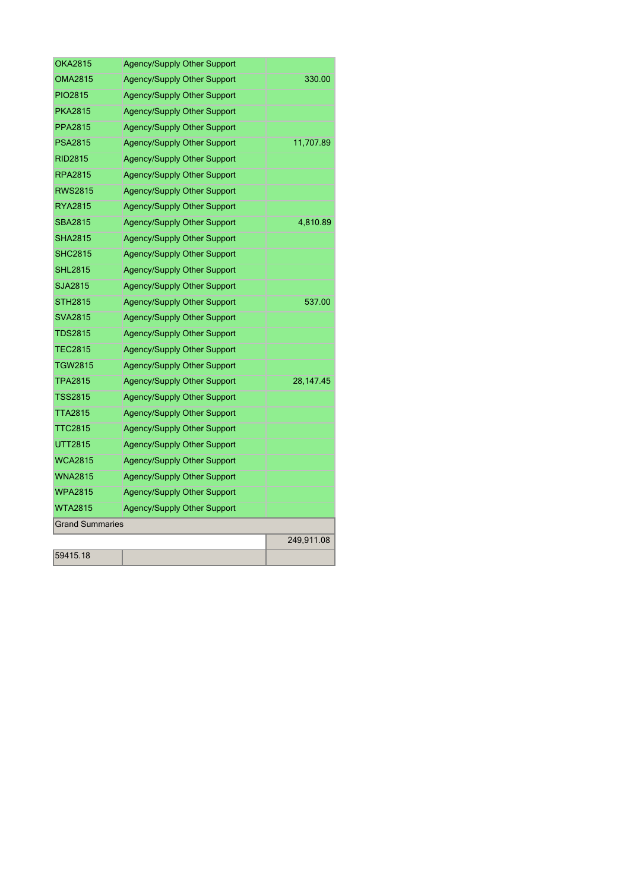| OKA2815                | Agency/Supply Other Support        |            |
|------------------------|------------------------------------|------------|
| <b>OMA2815</b>         | <b>Agency/Supply Other Support</b> | 330.00     |
| PIO2815                | <b>Agency/Supply Other Support</b> |            |
| <b>PKA2815</b>         | <b>Agency/Supply Other Support</b> |            |
| <b>PPA2815</b>         | <b>Agency/Supply Other Support</b> |            |
| <b>PSA2815</b>         | <b>Agency/Supply Other Support</b> | 11,707.89  |
| <b>RID2815</b>         | <b>Agency/Supply Other Support</b> |            |
| <b>RPA2815</b>         | <b>Agency/Supply Other Support</b> |            |
| RWS2815                | <b>Agency/Supply Other Support</b> |            |
| <b>RYA2815</b>         | <b>Agency/Supply Other Support</b> |            |
| <b>SBA2815</b>         | <b>Agency/Supply Other Support</b> | 4,810.89   |
| <b>SHA2815</b>         | <b>Agency/Supply Other Support</b> |            |
| <b>SHC2815</b>         | <b>Agency/Supply Other Support</b> |            |
| <b>SHL2815</b>         | <b>Agency/Supply Other Support</b> |            |
| SJA2815                | <b>Agency/Supply Other Support</b> |            |
| <b>STH2815</b>         | <b>Agency/Supply Other Support</b> | 537.00     |
| <b>SVA2815</b>         | <b>Agency/Supply Other Support</b> |            |
| <b>TDS2815</b>         | <b>Agency/Supply Other Support</b> |            |
| <b>TEC2815</b>         | <b>Agency/Supply Other Support</b> |            |
| TGW2815                | <b>Agency/Supply Other Support</b> |            |
| <b>TPA2815</b>         | <b>Agency/Supply Other Support</b> | 28,147.45  |
| <b>TSS2815</b>         | <b>Agency/Supply Other Support</b> |            |
| <b>TTA2815</b>         | <b>Agency/Supply Other Support</b> |            |
| <b>TTC2815</b>         | <b>Agency/Supply Other Support</b> |            |
| UTT2815                | <b>Agency/Supply Other Support</b> |            |
| <b>WCA2815</b>         | <b>Agency/Supply Other Support</b> |            |
| <b>WNA2815</b>         | <b>Agency/Supply Other Support</b> |            |
| <b>WPA2815</b>         | <b>Agency/Supply Other Support</b> |            |
| <b>WTA2815</b>         | <b>Agency/Supply Other Support</b> |            |
| <b>Grand Summaries</b> |                                    |            |
|                        |                                    | 249,911.08 |
| 59415.18               |                                    |            |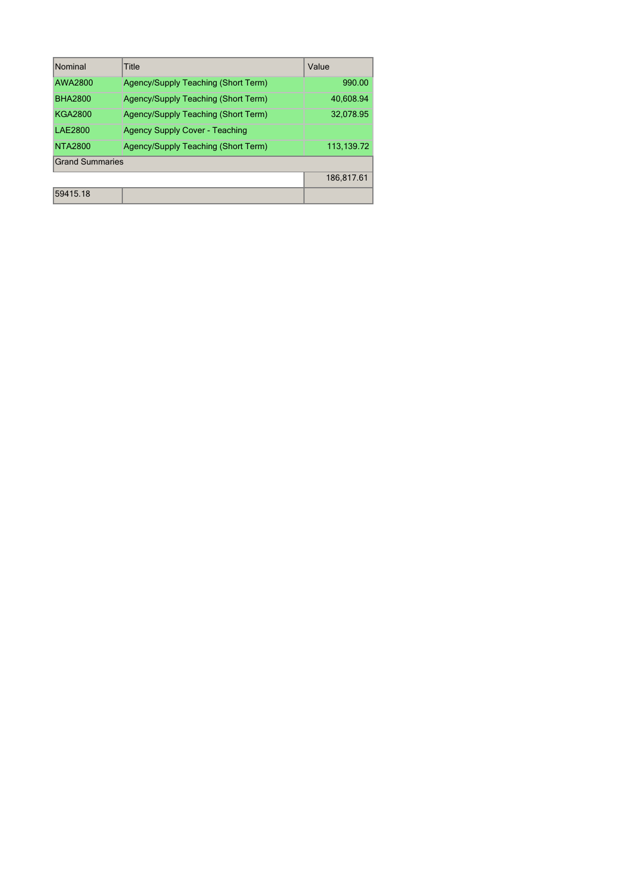| Nominal                | Title                                 | Value      |
|------------------------|---------------------------------------|------------|
| AWA2800                | Agency/Supply Teaching (Short Term)   | 990.00     |
| <b>BHA2800</b>         | Agency/Supply Teaching (Short Term)   | 40,608.94  |
| <b>KGA2800</b>         | Agency/Supply Teaching (Short Term)   | 32.078.95  |
| <b>LAE2800</b>         | <b>Agency Supply Cover - Teaching</b> |            |
| <b>NTA2800</b>         | Agency/Supply Teaching (Short Term)   | 113,139.72 |
| <b>Grand Summaries</b> |                                       |            |
|                        |                                       | 186,817.61 |
| 59415.18               |                                       |            |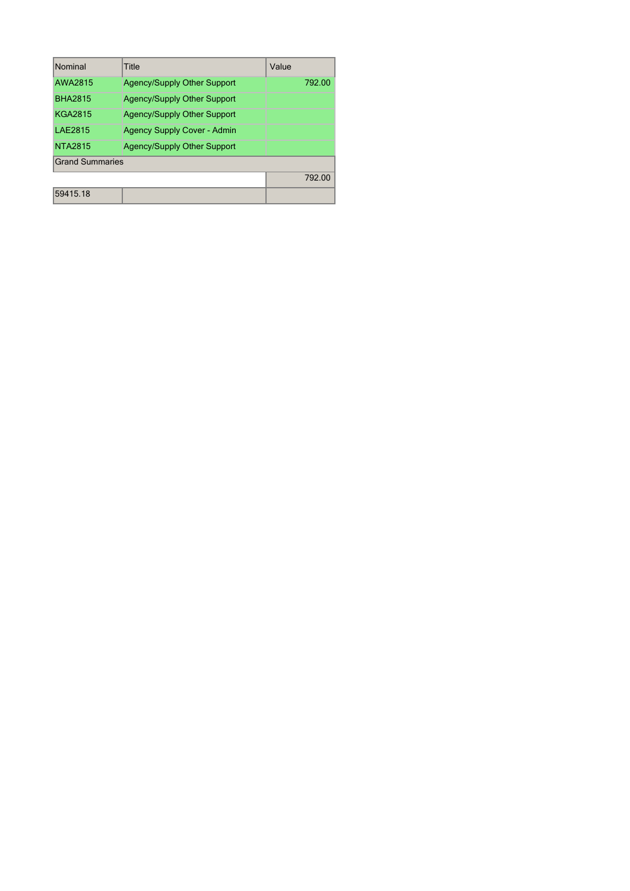| Nominal                | Title                              | Value  |
|------------------------|------------------------------------|--------|
| AWA2815                | <b>Agency/Supply Other Support</b> | 792.00 |
| <b>BHA2815</b>         | <b>Agency/Supply Other Support</b> |        |
| <b>KGA2815</b>         | <b>Agency/Supply Other Support</b> |        |
| LAF2815                | <b>Agency Supply Cover - Admin</b> |        |
| <b>NTA2815</b>         | <b>Agency/Supply Other Support</b> |        |
| <b>Grand Summaries</b> |                                    |        |
|                        |                                    | 792.00 |
| 59415 18               |                                    |        |